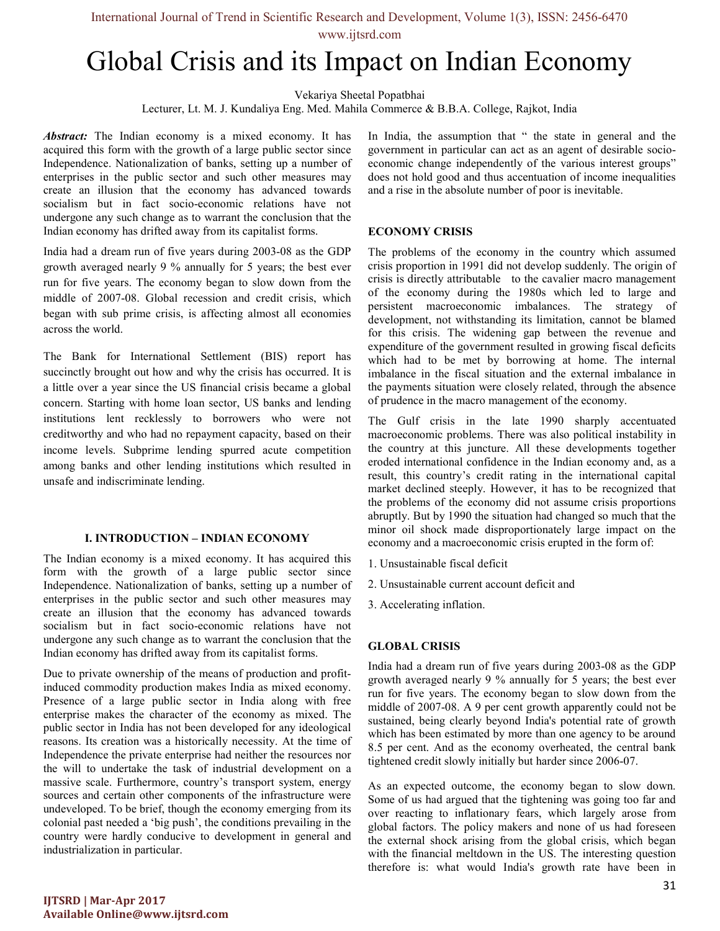www.ijtsrd.com

# Global Crisis and its Impact on Indian Economy

Vekariya Sheetal Popatbhai

Lecturer, Lt. M. J. Kundaliya Eng. Med. Mahila Commerce & B.B.A. College, Rajkot, India

Abstract: The Indian economy is a mixed economy. It has acquired this form with the growth of a large public sector since Independence. Nationalization of banks, setting up a number of enterprises in the public sector and such other measures may create an illusion that the economy has advanced towards socialism but in fact socio-economic relations have not undergone any such change as to warrant the conclusion that the Indian economy has drifted away from its capitalist forms.

India had a dream run of five years during 2003-08 as the GDP growth averaged nearly 9 % annually for 5 years; the best ever run for five years. The economy began to slow down from the middle of 2007-08. Global recession and credit crisis, which began with sub prime crisis, is affecting almost all economies across the world.

The Bank for International Settlement (BIS) report has succinctly brought out how and why the crisis has occurred. It is a little over a year since the US financial crisis became a global concern. Starting with home loan sector, US banks and lending institutions lent recklessly to borrowers who were not creditworthy and who had no repayment capacity, based on their income levels. Subprime lending spurred acute competition among banks and other lending institutions which resulted in unsafe and indiscriminate lending.

#### I. INTRODUCTION – INDIAN ECONOMY

The Indian economy is a mixed economy. It has acquired this form with the growth of a large public sector since Independence. Nationalization of banks, setting up a number of enterprises in the public sector and such other measures may create an illusion that the economy has advanced towards socialism but in fact socio-economic relations have not undergone any such change as to warrant the conclusion that the Indian economy has drifted away from its capitalist forms.

Due to private ownership of the means of production and profitinduced commodity production makes India as mixed economy. Presence of a large public sector in India along with free enterprise makes the character of the economy as mixed. The public sector in India has not been developed for any ideological reasons. Its creation was a historically necessity. At the time of Independence the private enterprise had neither the resources nor the will to undertake the task of industrial development on a massive scale. Furthermore, country's transport system, energy sources and certain other components of the infrastructure were undeveloped. To be brief, though the economy emerging from its colonial past needed a 'big push', the conditions prevailing in the country were hardly conducive to development in general and industrialization in particular.

In India, the assumption that " the state in general and the government in particular can act as an agent of desirable socioeconomic change independently of the various interest groups" does not hold good and thus accentuation of income inequalities and a rise in the absolute number of poor is inevitable.

## ECONOMY CRISIS

The problems of the economy in the country which assumed crisis proportion in 1991 did not develop suddenly. The origin of crisis is directly attributable to the cavalier macro management of the economy during the 1980s which led to large and persistent macroeconomic imbalances. The strategy of development, not withstanding its limitation, cannot be blamed for this crisis. The widening gap between the revenue and expenditure of the government resulted in growing fiscal deficits which had to be met by borrowing at home. The internal imbalance in the fiscal situation and the external imbalance in the payments situation were closely related, through the absence of prudence in the macro management of the economy.

The Gulf crisis in the late 1990 sharply accentuated macroeconomic problems. There was also political instability in the country at this juncture. All these developments together eroded international confidence in the Indian economy and, as a result, this country's credit rating in the international capital market declined steeply. However, it has to be recognized that the problems of the economy did not assume crisis proportions abruptly. But by 1990 the situation had changed so much that the minor oil shock made disproportionately large impact on the economy and a macroeconomic crisis erupted in the form of:

- 1. Unsustainable fiscal deficit
- 2. Unsustainable current account deficit and
- 3. Accelerating inflation.

## GLOBAL CRISIS

India had a dream run of five years during 2003-08 as the GDP growth averaged nearly 9 % annually for 5 years; the best ever run for five years. The economy began to slow down from the middle of 2007-08. A 9 per cent growth apparently could not be sustained, being clearly beyond India's potential rate of growth which has been estimated by more than one agency to be around 8.5 per cent. And as the economy overheated, the central bank tightened credit slowly initially but harder since 2006-07.

As an expected outcome, the economy began to slow down. Some of us had argued that the tightening was going too far and over reacting to inflationary fears, which largely arose from global factors. The policy makers and none of us had foreseen the external shock arising from the global crisis, which began with the financial meltdown in the US. The interesting question therefore is: what would India's growth rate have been in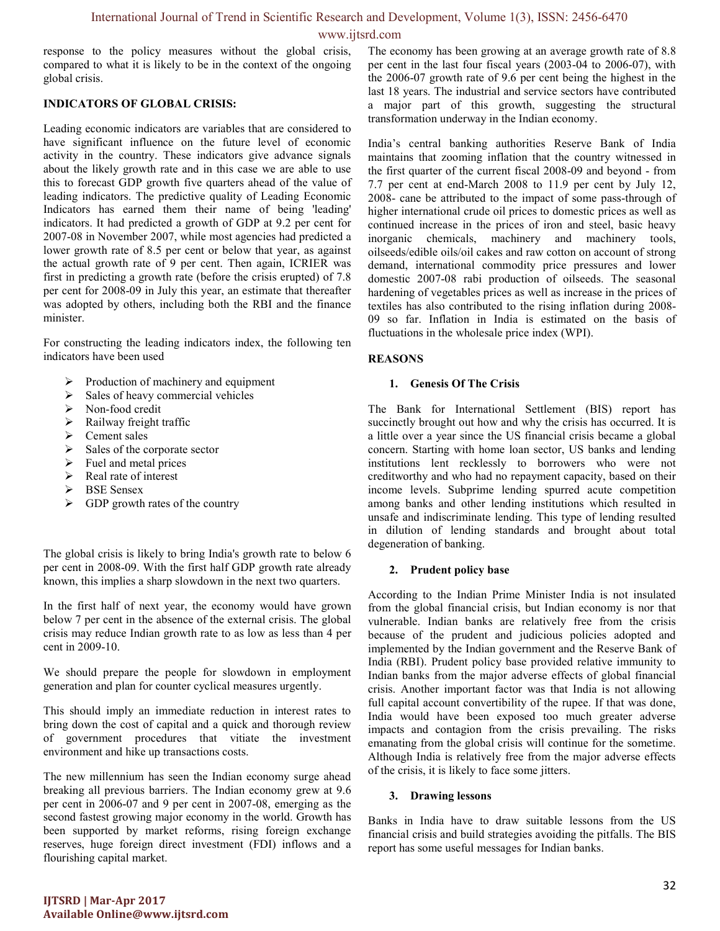www.ijtsrd.com

response to the policy measures without the global crisis, compared to what it is likely to be in the context of the ongoing global crisis.

## INDICATORS OF GLOBAL CRISIS:

Leading economic indicators are variables that are considered to have significant influence on the future level of economic activity in the country. These indicators give advance signals about the likely growth rate and in this case we are able to use this to forecast GDP growth five quarters ahead of the value of leading indicators. The predictive quality of Leading Economic Indicators has earned them their name of being 'leading' indicators. It had predicted a growth of GDP at 9.2 per cent for 2007-08 in November 2007, while most agencies had predicted a lower growth rate of 8.5 per cent or below that year, as against the actual growth rate of 9 per cent. Then again, ICRIER was first in predicting a growth rate (before the crisis erupted) of 7.8 per cent for 2008-09 in July this year, an estimate that thereafter was adopted by others, including both the RBI and the finance minister.

For constructing the leading indicators index, the following ten indicators have been used

- $\triangleright$  Production of machinery and equipment
- $\triangleright$  Sales of heavy commercial vehicles
- > Non-food credit
- $\triangleright$  Railway freight traffic
- $\geq$  Cement sales<br> $\geq$  Sales of the co
- Sales of the corporate sector
- $\triangleright$  Fuel and metal prices
- $\triangleright$  Real rate of interest
- > BSE Sensex
- $\triangleright$  GDP growth rates of the country

The global crisis is likely to bring India's growth rate to below 6 per cent in 2008-09. With the first half GDP growth rate already known, this implies a sharp slowdown in the next two quarters.

In the first half of next year, the economy would have grown below 7 per cent in the absence of the external crisis. The global crisis may reduce Indian growth rate to as low as less than 4 per cent in 2009-10.

We should prepare the people for slowdown in employment generation and plan for counter cyclical measures urgently.

This should imply an immediate reduction in interest rates to bring down the cost of capital and a quick and thorough review of government procedures that vitiate the investment environment and hike up transactions costs.

The new millennium has seen the Indian economy surge ahead breaking all previous barriers. The Indian economy grew at 9.6 per cent in 2006-07 and 9 per cent in 2007-08, emerging as the second fastest growing major economy in the world. Growth has been supported by market reforms, rising foreign exchange reserves, huge foreign direct investment (FDI) inflows and a flourishing capital market.

The economy has been growing at an average growth rate of 8.8 per cent in the last four fiscal years (2003-04 to 2006-07), with the 2006-07 growth rate of 9.6 per cent being the highest in the last 18 years. The industrial and service sectors have contributed a major part of this growth, suggesting the structural transformation underway in the Indian economy.

India's central banking authorities Reserve Bank of India maintains that zooming inflation that the country witnessed in the first quarter of the current fiscal 2008-09 and beyond - from 7.7 per cent at end-March 2008 to 11.9 per cent by July 12, 2008- cane be attributed to the impact of some pass-through of higher international crude oil prices to domestic prices as well as continued increase in the prices of iron and steel, basic heavy inorganic chemicals, machinery and machinery tools, oilseeds/edible oils/oil cakes and raw cotton on account of strong demand, international commodity price pressures and lower domestic 2007-08 rabi production of oilseeds. The seasonal hardening of vegetables prices as well as increase in the prices of textiles has also contributed to the rising inflation during 2008- 09 so far. Inflation in India is estimated on the basis of fluctuations in the wholesale price index (WPI).

# REASONS

## 1. Genesis Of The Crisis

The Bank for International Settlement (BIS) report has succinctly brought out how and why the crisis has occurred. It is a little over a year since the US financial crisis became a global concern. Starting with home loan sector, US banks and lending institutions lent recklessly to borrowers who were not creditworthy and who had no repayment capacity, based on their income levels. Subprime lending spurred acute competition among banks and other lending institutions which resulted in unsafe and indiscriminate lending. This type of lending resulted in dilution of lending standards and brought about total degeneration of banking.

## 2. Prudent policy base

According to the Indian Prime Minister India is not insulated from the global financial crisis, but Indian economy is nor that vulnerable. Indian banks are relatively free from the crisis because of the prudent and judicious policies adopted and implemented by the Indian government and the Reserve Bank of India (RBI). Prudent policy base provided relative immunity to Indian banks from the major adverse effects of global financial crisis. Another important factor was that India is not allowing full capital account convertibility of the rupee. If that was done, India would have been exposed too much greater adverse impacts and contagion from the crisis prevailing. The risks emanating from the global crisis will continue for the sometime. Although India is relatively free from the major adverse effects of the crisis, it is likely to face some jitters.

## 3. Drawing lessons

Banks in India have to draw suitable lessons from the US financial crisis and build strategies avoiding the pitfalls. The BIS report has some useful messages for Indian banks.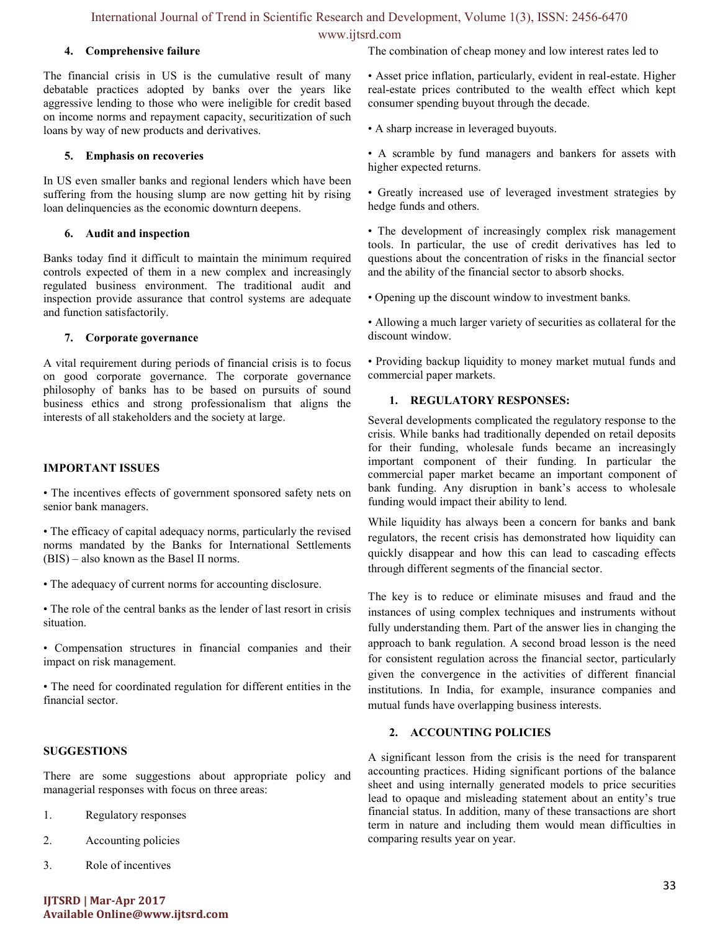www.ijtsrd.com

#### 4. Comprehensive failure

The financial crisis in US is the cumulative result of many debatable practices adopted by banks over the years like aggressive lending to those who were ineligible for credit based on income norms and repayment capacity, securitization of such loans by way of new products and derivatives.

#### 5. Emphasis on recoveries

In US even smaller banks and regional lenders which have been suffering from the housing slump are now getting hit by rising loan delinquencies as the economic downturn deepens.

#### 6. Audit and inspection

Banks today find it difficult to maintain the minimum required controls expected of them in a new complex and increasingly regulated business environment. The traditional audit and inspection provide assurance that control systems are adequate and function satisfactorily.

#### 7. Corporate governance

A vital requirement during periods of financial crisis is to focus on good corporate governance. The corporate governance philosophy of banks has to be based on pursuits of sound business ethics and strong professionalism that aligns the interests of all stakeholders and the society at large.

#### IMPORTANT ISSUES

• The incentives effects of government sponsored safety nets on senior bank managers.

• The efficacy of capital adequacy norms, particularly the revised norms mandated by the Banks for International Settlements (BIS) – also known as the Basel II norms.

• The adequacy of current norms for accounting disclosure.

• The role of the central banks as the lender of last resort in crisis situation.

• Compensation structures in financial companies and their impact on risk management.

• The need for coordinated regulation for different entities in the financial sector.

## SUGGESTIONS

There are some suggestions about appropriate policy and managerial responses with focus on three areas:

- 1. Regulatory responses
- 2. Accounting policies
- 3. Role of incentives

The combination of cheap money and low interest rates led to

• Asset price inflation, particularly, evident in real-estate. Higher real-estate prices contributed to the wealth effect which kept consumer spending buyout through the decade.

• A sharp increase in leveraged buyouts.

• A scramble by fund managers and bankers for assets with higher expected returns.

• Greatly increased use of leveraged investment strategies by hedge funds and others.

• The development of increasingly complex risk management tools. In particular, the use of credit derivatives has led to questions about the concentration of risks in the financial sector and the ability of the financial sector to absorb shocks.

• Opening up the discount window to investment banks.

• Allowing a much larger variety of securities as collateral for the discount window.

• Providing backup liquidity to money market mutual funds and commercial paper markets.

#### 1. REGULATORY RESPONSES:

Several developments complicated the regulatory response to the crisis. While banks had traditionally depended on retail deposits for their funding, wholesale funds became an increasingly important component of their funding. In particular the commercial paper market became an important component of bank funding. Any disruption in bank's access to wholesale funding would impact their ability to lend.

While liquidity has always been a concern for banks and bank regulators, the recent crisis has demonstrated how liquidity can quickly disappear and how this can lead to cascading effects through different segments of the financial sector.

The key is to reduce or eliminate misuses and fraud and the instances of using complex techniques and instruments without fully understanding them. Part of the answer lies in changing the approach to bank regulation. A second broad lesson is the need for consistent regulation across the financial sector, particularly given the convergence in the activities of different financial institutions. In India, for example, insurance companies and mutual funds have overlapping business interests.

## 2. ACCOUNTING POLICIES

A significant lesson from the crisis is the need for transparent accounting practices. Hiding significant portions of the balance sheet and using internally generated models to price securities lead to opaque and misleading statement about an entity's true financial status. In addition, many of these transactions are short term in nature and including them would mean difficulties in comparing results year on year.